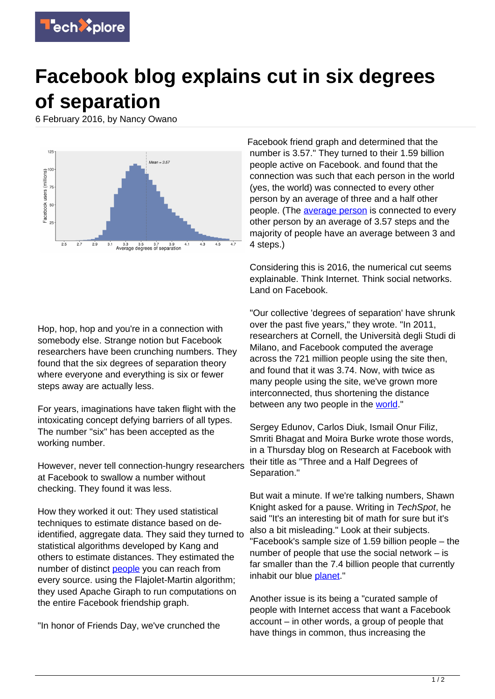

## **Facebook blog explains cut in six degrees of separation**

6 February 2016, by Nancy Owano



Hop, hop, hop and you're in a connection with somebody else. Strange notion but Facebook researchers have been crunching numbers. They found that the six degrees of separation theory where everyone and everything is six or fewer steps away are actually less.

For years, imaginations have taken flight with the intoxicating concept defying barriers of all types. The number "six" has been accepted as the working number.

However, never tell connection-hungry researchers at Facebook to swallow a number without checking. They found it was less.

How they worked it out: They used statistical techniques to estimate distance based on deidentified, aggregate data. They said they turned to statistical algorithms developed by Kang and others to estimate distances. They estimated the number of distinct [people](https://techxplore.com/tags/people/) you can reach from every source. using the Flajolet-Martin algorithm; they used Apache Giraph to run computations on the entire Facebook friendship graph.

"In honor of Friends Day, we've crunched the

Facebook friend graph and determined that the number is 3.57." They turned to their 1.59 billion people active on Facebook. and found that the connection was such that each person in the world (yes, the world) was connected to every other person by an average of three and a half other people. (The [average person](https://techxplore.com/tags/average+person/) is connected to every other person by an average of 3.57 steps and the majority of people have an average between 3 and 4 steps.)

Considering this is 2016, the numerical cut seems explainable. Think Internet. Think social networks. Land on Facebook.

"Our collective 'degrees of separation' have shrunk over the past five years," they wrote. "In 2011, researchers at Cornell, the Università degli Studi di Milano, and Facebook computed the average across the 721 million people using the site then, and found that it was 3.74. Now, with twice as many people using the site, we've grown more interconnected, thus shortening the distance between any two people in the [world](https://research.facebook.com/blog/three-and-a-half-degrees-of-separation/)."

Sergey Edunov, Carlos Diuk, Ismail Onur Filiz, Smriti Bhagat and Moira Burke wrote those words, in a Thursday blog on Research at Facebook with their title as "Three and a Half Degrees of Separation."

But wait a minute. If we're talking numbers, Shawn Knight asked for a pause. Writing in TechSpot, he said "It's an interesting bit of math for sure but it's also a bit misleading." Look at their subjects. "Facebook's sample size of 1.59 billion people – the number of people that use the social network – is far smaller than the 7.4 billion people that currently inhabit our blue [planet.](http://www.techspot.com/news/63716-facebook-turns-12-youre-only-357-connections-away.html#commentsOffset)"

Another issue is its being a "curated sample of people with Internet access that want a Facebook account – in other words, a group of people that have things in common, thus increasing the